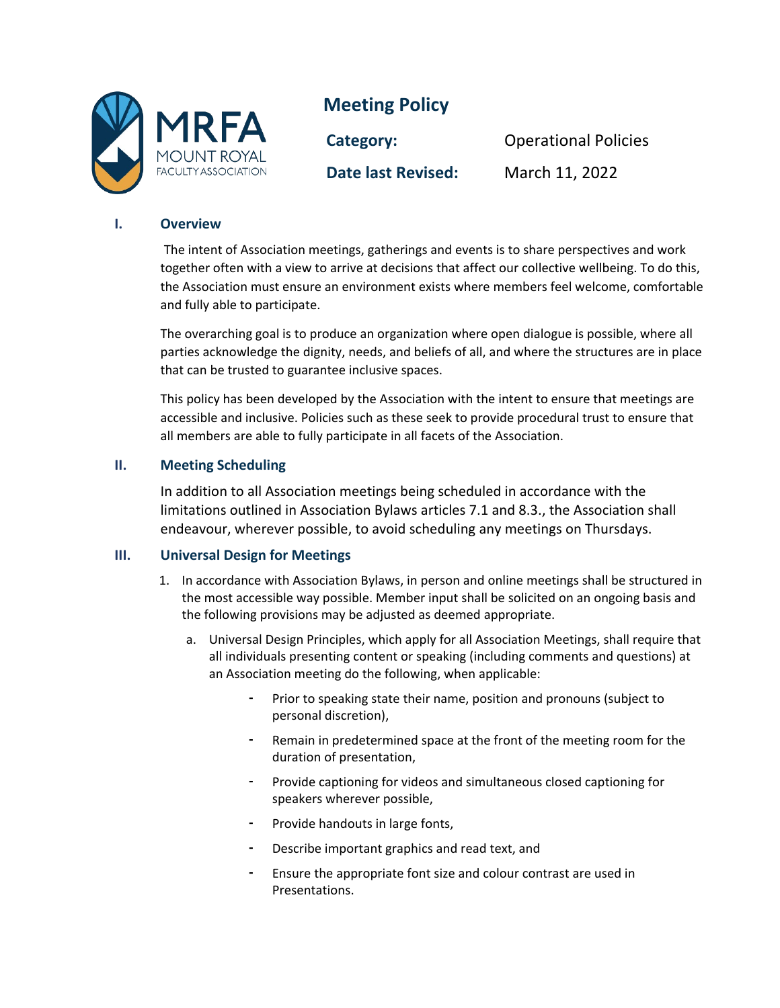

# **Meeting Policy**

**Date last Revised:** March 11, 2022

**Category:** Operational Policies

## **I. Overview**

The intent of Association meetings, gatherings and events is to share perspectives and work together often with a view to arrive at decisions that affect our collective wellbeing. To do this, the Association must ensure an environment exists where members feel welcome, comfortable and fully able to participate.

The overarching goal is to produce an organization where open dialogue is possible, where all parties acknowledge the dignity, needs, and beliefs of all, and where the structures are in place that can be trusted to guarantee inclusive spaces.

This policy has been developed by the Association with the intent to ensure that meetings are accessible and inclusive. Policies such as these seek to provide procedural trust to ensure that all members are able to fully participate in all facets of the Association.

## **II. Meeting Scheduling**

In addition to all Association meetings being scheduled in accordance with the limitations outlined in Association Bylaws articles 7.1 and 8.3., the Association shall endeavour, wherever possible, to avoid scheduling any meetings on Thursdays.

## **III. Universal Design for Meetings**

- 1. In accordance with Association Bylaws, in person and online meetings shall be structured in the most accessible way possible. Member input shall be solicited on an ongoing basis and the following provisions may be adjusted as deemed appropriate.
	- a. Universal Design Principles, which apply for all Association Meetings, shall require that all individuals presenting content or speaking (including comments and questions) at an Association meeting do the following, when applicable:
		- Prior to speaking state their name, position and pronouns (subject to personal discretion),
		- Remain in predetermined space at the front of the meeting room for the duration of presentation,
		- Provide captioning for videos and simultaneous closed captioning for speakers wherever possible,
		- Provide handouts in large fonts,
		- Describe important graphics and read text, and
		- Ensure the appropriate font size and colour contrast are used in Presentations.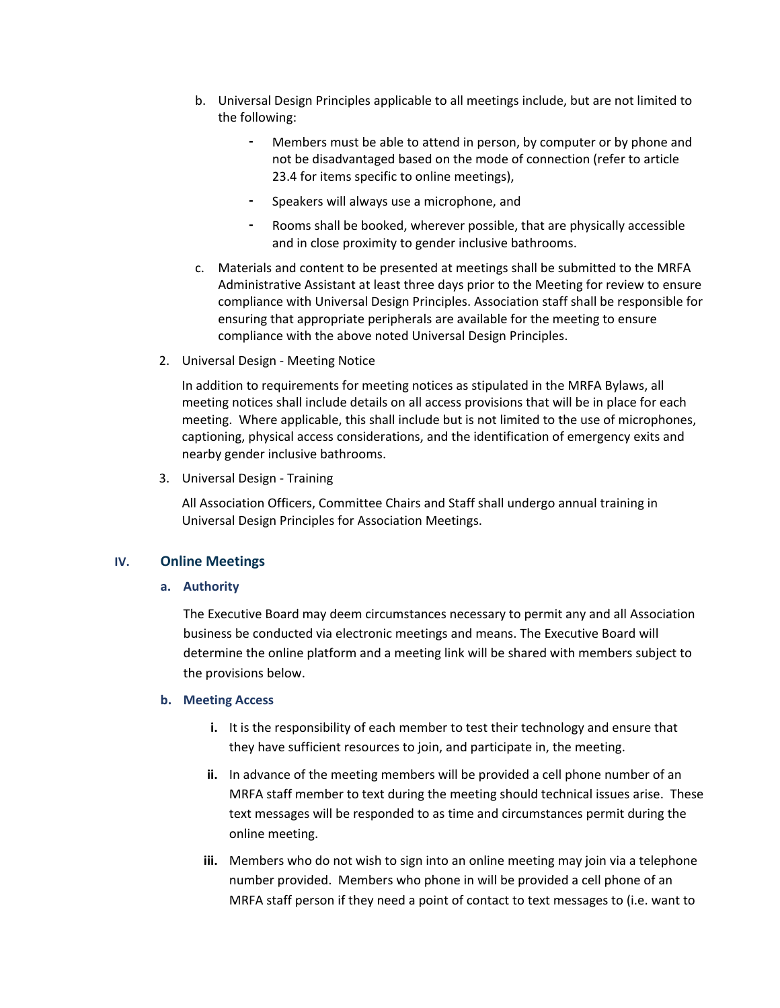- b. Universal Design Principles applicable to all meetings include, but are not limited to the following:
	- Members must be able to attend in person, by computer or by phone and not be disadvantaged based on the mode of connection (refer to article 23.4 for items specific to online meetings),
	- Speakers will always use a microphone, and
	- Rooms shall be booked, wherever possible, that are physically accessible and in close proximity to gender inclusive bathrooms.
- c. Materials and content to be presented at meetings shall be submitted to the MRFA Administrative Assistant at least three days prior to the Meeting for review to ensure compliance with Universal Design Principles. Association staff shall be responsible for ensuring that appropriate peripherals are available for the meeting to ensure compliance with the above noted Universal Design Principles.
- 2. Universal Design Meeting Notice

In addition to requirements for meeting notices as stipulated in the MRFA Bylaws, all meeting notices shall include details on all access provisions that will be in place for each meeting. Where applicable, this shall include but is not limited to the use of microphones, captioning, physical access considerations, and the identification of emergency exits and nearby gender inclusive bathrooms.

3. Universal Design - Training

All Association Officers, Committee Chairs and Staff shall undergo annual training in Universal Design Principles for Association Meetings.

## **IV. Online Meetings**

#### **a. Authority**

The Executive Board may deem circumstances necessary to permit any and all Association business be conducted via electronic meetings and means. The Executive Board will determine the online platform and a meeting link will be shared with members subject to the provisions below.

#### **b. Meeting Access**

- **i.** It is the responsibility of each member to test their technology and ensure that they have sufficient resources to join, and participate in, the meeting.
- **ii.** In advance of the meeting members will be provided a cell phone number of an MRFA staff member to text during the meeting should technical issues arise. These text messages will be responded to as time and circumstances permit during the online meeting.
- **iii.** Members who do not wish to sign into an online meeting may join via a telephone number provided. Members who phone in will be provided a cell phone of an MRFA staff person if they need a point of contact to text messages to (i.e. want to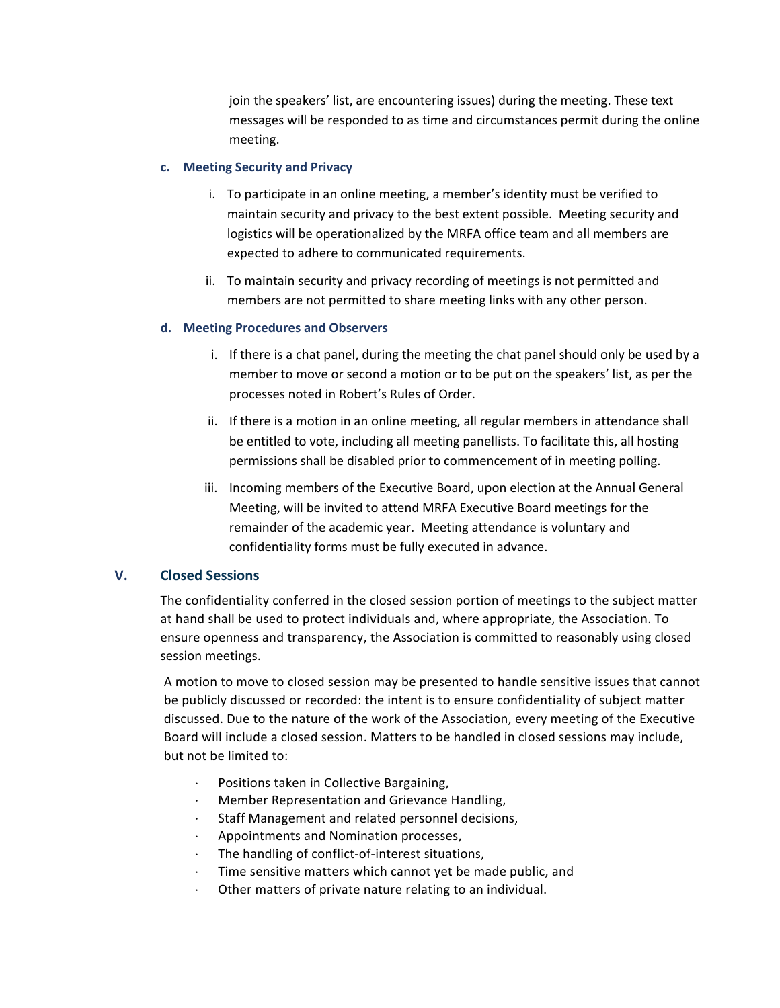join the speakers' list, are encountering issues) during the meeting. These text messages will be responded to as time and circumstances permit during the online meeting.

#### **c. Meeting Security and Privacy**

- i. To participate in an online meeting, a member's identity must be verified to maintain security and privacy to the best extent possible. Meeting security and logistics will be operationalized by the MRFA office team and all members are expected to adhere to communicated requirements.
- ii. To maintain security and privacy recording of meetings is not permitted and members are not permitted to share meeting links with any other person.

#### **d. Meeting Procedures and Observers**

- i. If there is a chat panel, during the meeting the chat panel should only be used by a member to move or second a motion or to be put on the speakers' list, as per the processes noted in Robert's Rules of Order.
- ii. If there is a motion in an online meeting, all regular members in attendance shall be entitled to vote, including all meeting panellists. To facilitate this, all hosting permissions shall be disabled prior to commencement of in meeting polling.
- iii. Incoming members of the Executive Board, upon election at the Annual General Meeting, will be invited to attend MRFA Executive Board meetings for the remainder of the academic year. Meeting attendance is voluntary and confidentiality forms must be fully executed in advance.

## **V. Closed Sessions**

The confidentiality conferred in the closed session portion of meetings to the subject matter at hand shall be used to protect individuals and, where appropriate, the Association. To ensure openness and transparency, the Association is committed to reasonably using closed session meetings.

A motion to move to closed session may be presented to handle sensitive issues that cannot be publicly discussed or recorded: the intent is to ensure confidentiality of subject matter discussed. Due to the nature of the work of the Association, every meeting of the Executive Board will include a closed session. Matters to be handled in closed sessions may include, but not be limited to:

- Positions taken in Collective Bargaining,
- ⋅ Member Representation and Grievance Handling,
- Staff Management and related personnel decisions,
- ⋅ Appointments and Nomination processes,
- The handling of conflict-of-interest situations,
- Time sensitive matters which cannot yet be made public, and
- Other matters of private nature relating to an individual.